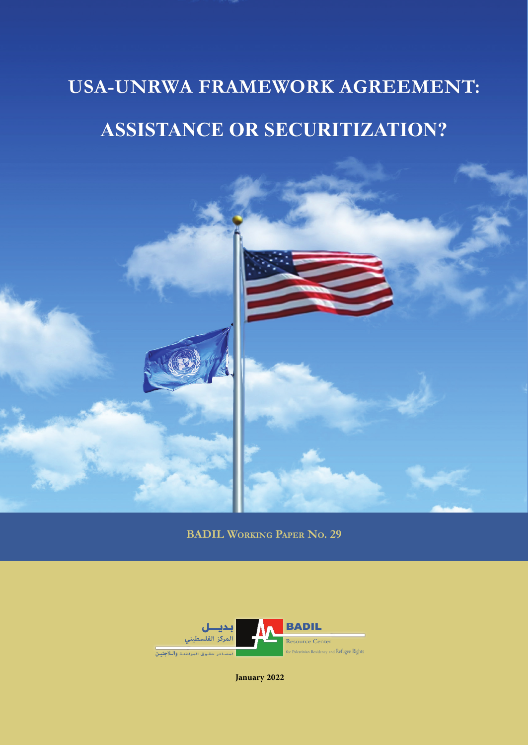# **USA-UNRWA Framework Agreement USA-UNRWA FRAMEWORK AGREEMENT: Assistance or Securitization? ASSISTANCE OR SECURITIZATION?**



**BADIL Working Paper No. 29**



**January 2022**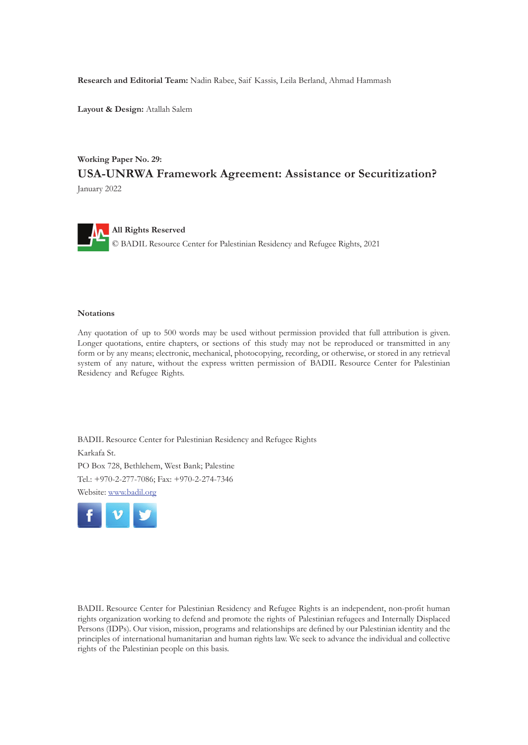**Research and Editorial Team:** Nadin Rabee, Saif Kassis, Leila Berland, Ahmad Hammash

**Layout & Design:** Atallah Salem

#### **Working Paper No. 29: USA-UNRWA Framework Agreement: Assistance or Securitization?** January 2022



#### **Notations**

Any quotation of up to 500 words may be used without permission provided that full attribution is given. Longer quotations, entire chapters, or sections of this study may not be reproduced or transmitted in any form or by any means; electronic, mechanical, photocopying, recording, or otherwise, or stored in any retrieval system of any nature, without the express written permission of BADIL Resource Center for Palestinian Residency and Refugee Rights.

BADIL Resource Center for Palestinian Residency and Refugee Rights Karkafa St. PO Box 728, Bethlehem, West Bank; Palestine Tel.: +970-2-277-7086; Fax: +970-2-274-7346 Website: www.badil.org



BADIL Resource Center for Palestinian Residency and Refugee Rights is an independent, non-profit human rights organization working to defend and promote the rights of Palestinian refugees and Internally Displaced Persons (IDPs). Our vision, mission, programs and relationships are defined by our Palestinian identity and the principles of international humanitarian and human rights law. We seek to advance the individual and collective rights of the Palestinian people on this basis.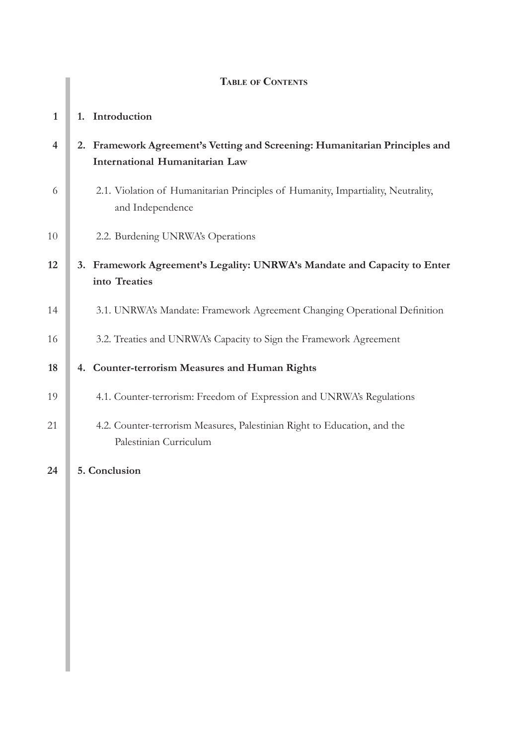|                | <b>TABLE OF CONTENTS</b>                                                                                             |
|----------------|----------------------------------------------------------------------------------------------------------------------|
| $\mathbf{1}$   | 1. Introduction                                                                                                      |
| $\overline{4}$ | 2. Framework Agreement's Vetting and Screening: Humanitarian Principles and<br><b>International Humanitarian Law</b> |
| 6              | 2.1. Violation of Humanitarian Principles of Humanity, Impartiality, Neutrality,<br>and Independence                 |
| 10             | 2.2. Burdening UNRWA's Operations                                                                                    |
| 12             | 3. Framework Agreement's Legality: UNRWA's Mandate and Capacity to Enter<br>into Treaties                            |
| 14             | 3.1. UNRWA's Mandate: Framework Agreement Changing Operational Definition                                            |
| 16             | 3.2. Treaties and UNRWA's Capacity to Sign the Framework Agreement                                                   |
| 18             | 4. Counter-terrorism Measures and Human Rights                                                                       |
| 19             | 4.1. Counter-terrorism: Freedom of Expression and UNRWA's Regulations                                                |
| 21             | 4.2. Counter-terrorism Measures, Palestinian Right to Education, and the<br>Palestinian Curriculum                   |
| 24             | 5. Conclusion                                                                                                        |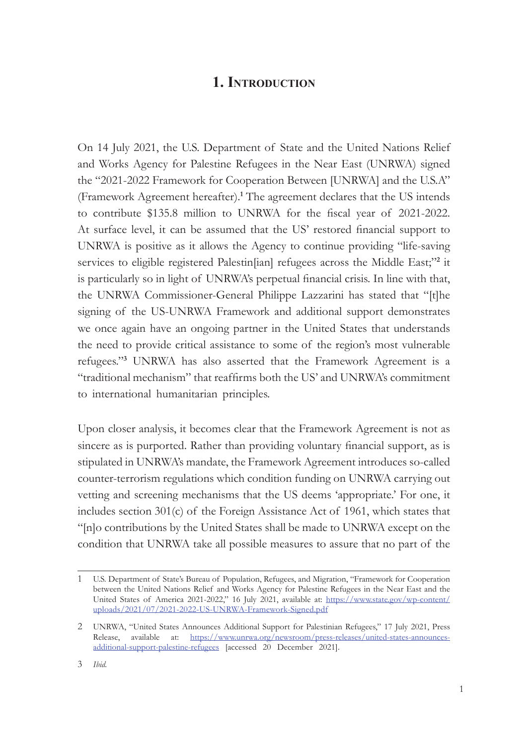# **1. Introduction**

On 14 July 2021, the U.S. Department of State and the United Nations Relief and Works Agency for Palestine Refugees in the Near East (UNRWA) signed the "2021-2022 Framework for Cooperation Between [UNRWA] and the U.S.A" (Framework Agreement hereafter).**<sup>1</sup>** The agreement declares that the US intends to contribute \$135.8 million to UNRWA for the fiscal year of 2021-2022. At surface level, it can be assumed that the US' restored financial support to UNRWA is positive as it allows the Agency to continue providing "life-saving services to eligible registered Palestin[ian] refugees across the Middle East;"**<sup>2</sup>** it is particularly so in light of UNRWA's perpetual financial crisis. In line with that, the UNRWA Commissioner-General Philippe Lazzarini has stated that "[t]he signing of the US-UNRWA Framework and additional support demonstrates we once again have an ongoing partner in the United States that understands the need to provide critical assistance to some of the region's most vulnerable refugees."**<sup>3</sup>** UNRWA has also asserted that the Framework Agreement is a "traditional mechanism" that reaffirms both the US' and UNRWA's commitment to international humanitarian principles.

Upon closer analysis, it becomes clear that the Framework Agreement is not as sincere as is purported. Rather than providing voluntary financial support, as is stipulated in UNRWA's mandate, the Framework Agreement introduces so-called counter-terrorism regulations which condition funding on UNRWA carrying out vetting and screening mechanisms that the US deems 'appropriate.' For one, it includes section 301(c) of the Foreign Assistance Act of 1961, which states that "[n]o contributions by the United States shall be made to UNRWA except on the condition that UNRWA take all possible measures to assure that no part of the

<sup>1</sup> U.S. Department of State's Bureau of Population, Refugees, and Migration, "Framework for Cooperation between the United Nations Relief and Works Agency for Palestine Refugees in the Near East and the United States of America 2021-2022," 16 July 2021, available at: [https://www.state.gov/wp-content/](https://www.state.gov/wp-content/uploads/2021/07/2021-2022-US-UNRWA-Framework-Signed.pdf) [uploads/2021/07/2021-2022-US-UNRWA-Framework-Signed.pdf](https://www.state.gov/wp-content/uploads/2021/07/2021-2022-US-UNRWA-Framework-Signed.pdf)

<sup>2</sup> UNRWA, "United States Announces Additional Support for Palestinian Refugees," 17 July 2021, Press Release, available at: [https://www.unrwa.org/newsroom/press-releases/united-states-announces](https://www.unrwa.org/newsroom/press-releases/united-states-announces-additional-support-palestine-refugees)[additional-support-palestine-refugees](https://www.unrwa.org/newsroom/press-releases/united-states-announces-additional-support-palestine-refugees) [accessed 20 December 2021].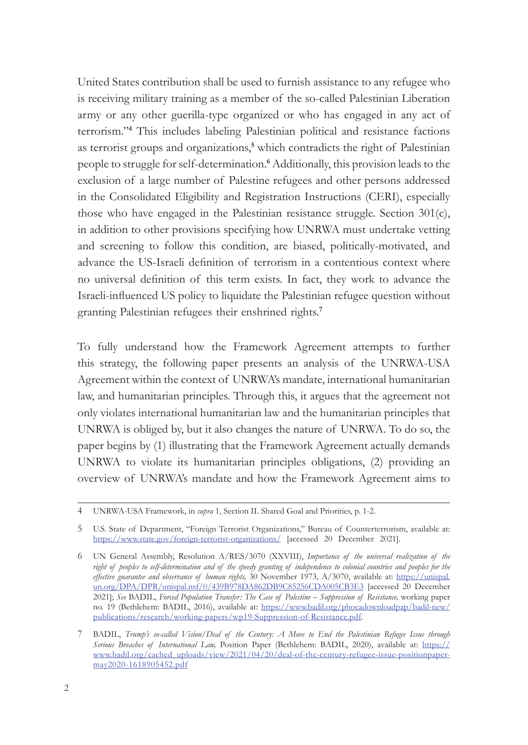United States contribution shall be used to furnish assistance to any refugee who is receiving military training as a member of the so-called Palestinian Liberation army or any other guerilla-type organized or who has engaged in any act of terrorism."**<sup>4</sup>** This includes labeling Palestinian political and resistance factions as terrorist groups and organizations,**<sup>5</sup>** which contradicts the right of Palestinian people to struggle for self-determination.**<sup>6</sup>** Additionally, this provision leads to the exclusion of a large number of Palestine refugees and other persons addressed in the Consolidated Eligibility and Registration Instructions (CERI), especially those who have engaged in the Palestinian resistance struggle. Section 301(c), in addition to other provisions specifying how UNRWA must undertake vetting and screening to follow this condition, are biased, politically-motivated, and advance the US-Israeli definition of terrorism in a contentious context where no universal definition of this term exists. In fact, they work to advance the Israeli-influenced US policy to liquidate the Palestinian refugee question without granting Palestinian refugees their enshrined rights.**<sup>7</sup>**

To fully understand how the Framework Agreement attempts to further this strategy, the following paper presents an analysis of the UNRWA-USA Agreement within the context of UNRWA's mandate, international humanitarian law, and humanitarian principles. Through this, it argues that the agreement not only violates international humanitarian law and the humanitarian principles that UNRWA is obliged by, but it also changes the nature of UNRWA. To do so, the paper begins by (1) illustrating that the Framework Agreement actually demands UNRWA to violate its humanitarian principles obligations, (2) providing an overview of UNRWA's mandate and how the Framework Agreement aims to

<sup>4</sup> UNRWA-USA Framework, in *supra* 1, Section II. Shared Goal and Priorities, p. 1-2.

<sup>5</sup> U.S. State of Department, "Foreign Terrorist Organizations," Bureau of Counterterrorism, available at: <https://www.state.gov/foreign-terrorist-organizations/> [accessed 20 December 2021].

<sup>6</sup> UN General Assembly, Resolution A/RES/3070 (XXVIII), *Importance of the universal realization of the right of peoples to self-determination and of the speedy granting of independence to colonial countries and peoples for the effective guarantee and observance of human rights,* 30 November 1973, A/3070, available at: [https://unispal.](https://unispal.un.org/DPA/DPR/unispal.nsf/0/439B978DA862DB9C85256CDA005CB3E3) [un.org/DPA/DPR/unispal.nsf/0/439B978DA862DB9C85256CDA005CB3E3](https://unispal.un.org/DPA/DPR/unispal.nsf/0/439B978DA862DB9C85256CDA005CB3E3) [accessed 20 December 2021]; *See* BADIL, *Forced Population Transfer: The Case of Palestine – Suppression of Resistance,* working paper no. 19 (Bethlehem: BADIL, 2016), available at: [https://www.badil.org/phocadownloadpap/badil-new/](https://www.badil.org/phocadownloadpap/badil-new/publications/research/working-papers/wp19-Suppression-of-Resistance.pdf) [publications/research/working-papers/wp19-Suppression-of-Resistance.pdf.](https://www.badil.org/phocadownloadpap/badil-new/publications/research/working-papers/wp19-Suppression-of-Resistance.pdf)

<sup>7</sup> BADIL, *Trump's so-called Vision/Deal of the Century: A Move to End the Palestinian Refugee Issue through Serious Breaches of International Law,* Position Paper (Bethlehem: BADIL, 2020), available at: [https://](https://www.badil.org/cached_uploads/view/2021/04/20/deal-of-the-century-refugee-issue-positionpaper-may2020-1618905452.pdf) [www.badil.org/cached\\_uploads/view/2021/04/20/deal-of-the-century-refugee-issue-positionpaper](https://www.badil.org/cached_uploads/view/2021/04/20/deal-of-the-century-refugee-issue-positionpaper-may2020-1618905452.pdf)[may2020-1618905452.pdf](https://www.badil.org/cached_uploads/view/2021/04/20/deal-of-the-century-refugee-issue-positionpaper-may2020-1618905452.pdf)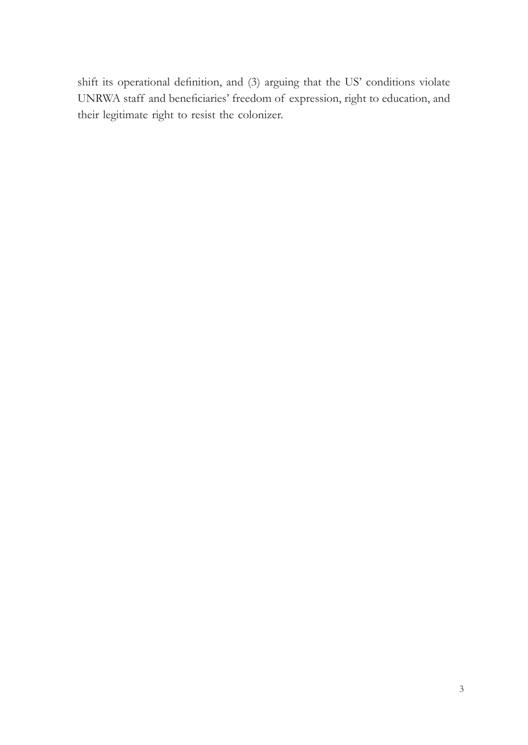shift its operational definition, and (3) arguing that the US' conditions violate UNRWA staff and beneficiaries' freedom of expression, right to education, and their legitimate right to resist the colonizer.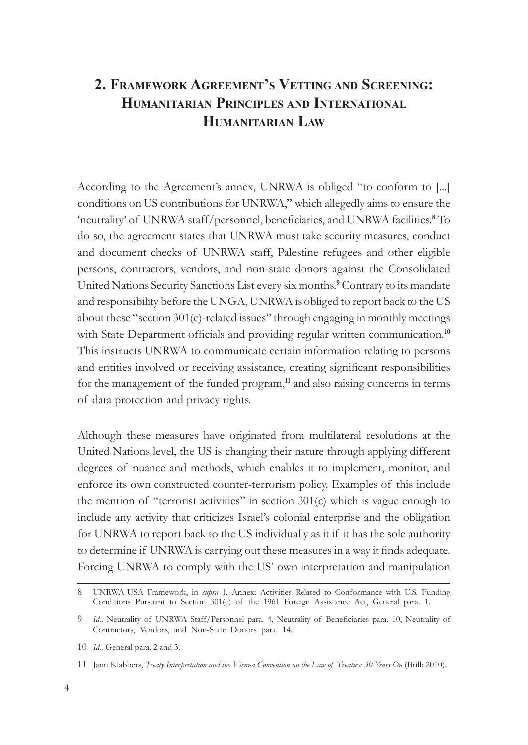# **2. Framework Agreement's Vetting and Screening: Humanitarian Principles and International Humanitarian Law**

According to the Agreement's annex, UNRWA is obliged "to conform to [...] conditions on US contributions for UNRWA," which allegedly aims to ensure the 'neutrality' of UNRWA staff/personnel, beneficiaries, and UNRWA facilities.**<sup>8</sup>** To do so, the agreement states that UNRWA must take security measures, conduct and document checks of UNRWA staff, Palestine refugees and other eligible persons, contractors, vendors, and non-state donors against the Consolidated United Nations Security Sanctions List every six months.**<sup>9</sup>** Contrary to its mandate and responsibility before the UNGA, UNRWA is obliged to report back to the US about these "section 301(c)-related issues" through engaging in monthly meetings with State Department officials and providing regular written communication.<sup>10</sup> This instructs UNRWA to communicate certain information relating to persons and entities involved or receiving assistance, creating significant responsibilities for the management of the funded program,**<sup>11</sup>** and also raising concerns in terms of data protection and privacy rights.

Although these measures have originated from multilateral resolutions at the United Nations level, the US is changing their nature through applying different degrees of nuance and methods, which enables it to implement, monitor, and enforce its own constructed counter-terrorism policy. Examples of this include the mention of "terrorist activities" in section 301(c) which is vague enough to include any activity that criticizes Israel's colonial enterprise and the obligation for UNRWA to report back to the US individually as it if it has the sole authority to determine if UNRWA is carrying out these measures in a way it finds adequate. Forcing UNRWA to comply with the US' own interpretation and manipulation

<sup>8</sup> UNRWA-USA Framework, in *supra* 1, Annex: Activities Related to Conformance with U.S. Funding Conditions Pursuant to Section 301(c) of the 1961 Foreign Assistance Act, General para. 1.

<sup>9</sup> *Id.,* Neutrality of UNRWA Staff/Personnel para. 4, Neutrality of Beneficiaries para. 10, Neutrality of Contractors, Vendors, and Non-State Donors para. 14.

<sup>10</sup> *Id.,* General para. 2 and 3.

<sup>11</sup> Jann Klabbers, *Treaty Interpretation and the Vienna Convention on the Law of Treaties: 30 Years On* (Brill: 2010).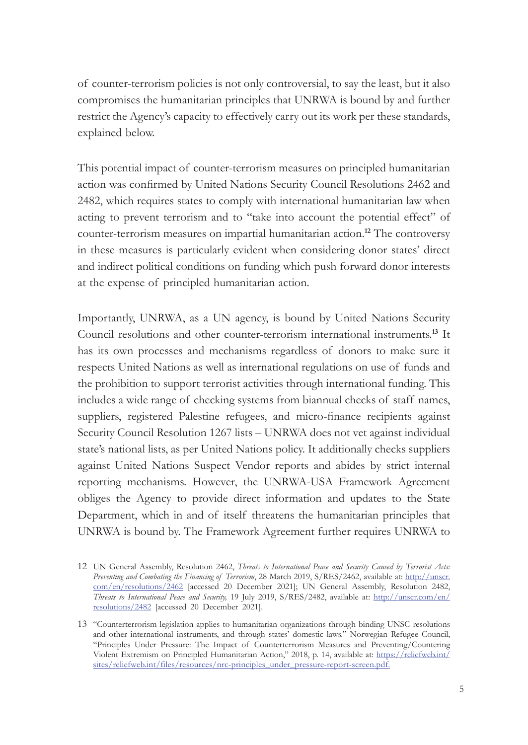of counter-terrorism policies is not only controversial, to say the least, but it also compromises the humanitarian principles that UNRWA is bound by and further restrict the Agency's capacity to effectively carry out its work per these standards, explained below.

This potential impact of counter-terrorism measures on principled humanitarian action was confirmed by United Nations Security Council Resolutions 2462 and 2482, which requires states to comply with international humanitarian law when acting to prevent terrorism and to "take into account the potential effect" of counter-terrorism measures on impartial humanitarian action.**<sup>12</sup>** The controversy in these measures is particularly evident when considering donor states' direct and indirect political conditions on funding which push forward donor interests at the expense of principled humanitarian action.

Importantly, UNRWA, as a UN agency, is bound by United Nations Security Council resolutions and other counter-terrorism international instruments.**<sup>13</sup>** It has its own processes and mechanisms regardless of donors to make sure it respects United Nations as well as international regulations on use of funds and the prohibition to support terrorist activities through international funding. This includes a wide range of checking systems from biannual checks of staff names, suppliers, registered Palestine refugees, and micro-finance recipients against Security Council Resolution 1267 lists – UNRWA does not vet against individual state's national lists, as per United Nations policy. It additionally checks suppliers against United Nations Suspect Vendor reports and abides by strict internal reporting mechanisms. However, the UNRWA-USA Framework Agreement obliges the Agency to provide direct information and updates to the State Department, which in and of itself threatens the humanitarian principles that UNRWA is bound by. The Framework Agreement further requires UNRWA to

<sup>12</sup> UN General Assembly, Resolution 2462, *Threats to International Peace and Security Caused by Terrorist Acts: Preventing and Combating the Financing of Terrorism*, 28 March 2019, S/RES/2462, available at: [http://unscr.](http://unscr.com/en/resolutions/2462) [com/en/resolutions/2462](http://unscr.com/en/resolutions/2462) [accessed 20 December 2021]; UN General Assembly, Resolution 2482, *Threats to International Peace and Security,* 19 July 2019, S/RES/2482, available at: [http://unscr.com/en/](http://unscr.com/en/resolutions/2482) [resolutions/2482](http://unscr.com/en/resolutions/2482) [accessed 20 December 2021].

<sup>13</sup> "Counterterrorism legislation applies to humanitarian organizations through binding UNSC resolutions and other international instruments, and through states' domestic laws." Norwegian Refugee Council, "Principles Under Pressure: The Impact of Counterterrorism Measures and Preventing/Countering Violent Extremism on Principled Humanitarian Action," 2018, p. 14, available at: [https://reliefweb.int/](https://reliefweb.int/sites/reliefweb.int/files/resources/nrc-principles_under_pressure-report-screen.pdf) [sites/reliefweb.int/files/resources/nrc-principles\\_under\\_pressure-report-screen.pdf](https://reliefweb.int/sites/reliefweb.int/files/resources/nrc-principles_under_pressure-report-screen.pdf).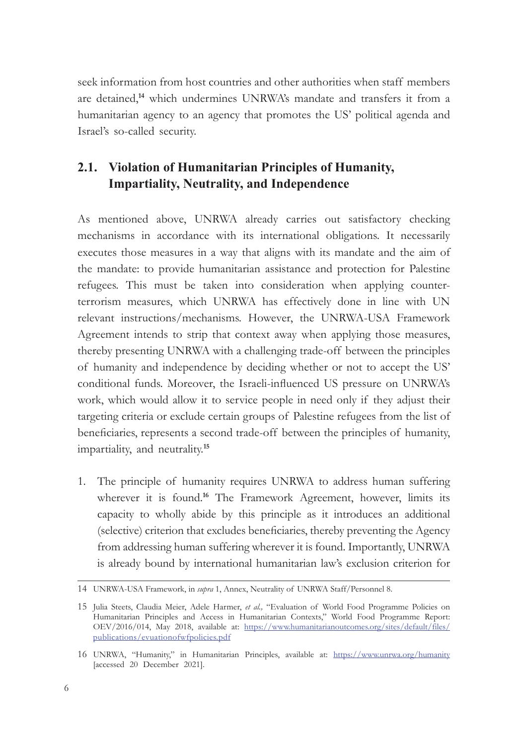seek information from host countries and other authorities when staff members are detained,**<sup>14</sup>** which undermines UNRWA's mandate and transfers it from a humanitarian agency to an agency that promotes the US' political agenda and Israel's so-called security.

## **2.1. Violation of Humanitarian Principles of Humanity, Impartiality, Neutrality, and Independence**

As mentioned above, UNRWA already carries out satisfactory checking mechanisms in accordance with its international obligations. It necessarily executes those measures in a way that aligns with its mandate and the aim of the mandate: to provide humanitarian assistance and protection for Palestine refugees. This must be taken into consideration when applying counterterrorism measures, which UNRWA has effectively done in line with UN relevant instructions/mechanisms. However, the UNRWA-USA Framework Agreement intends to strip that context away when applying those measures, thereby presenting UNRWA with a challenging trade-off between the principles of humanity and independence by deciding whether or not to accept the US' conditional funds. Moreover, the Israeli-influenced US pressure on UNRWA's work, which would allow it to service people in need only if they adjust their targeting criteria or exclude certain groups of Palestine refugees from the list of beneficiaries, represents a second trade-off between the principles of humanity, impartiality, and neutrality.**<sup>15</sup>**

1. The principle of humanity requires UNRWA to address human suffering wherever it is found.<sup>16</sup> The Framework Agreement, however, limits its capacity to wholly abide by this principle as it introduces an additional (selective) criterion that excludes beneficiaries, thereby preventing the Agency from addressing human suffering wherever it is found. Importantly, UNRWA is already bound by international humanitarian law's exclusion criterion for

<sup>14</sup> UNRWA-USA Framework, in *supra* 1, Annex, Neutrality of UNRWA Staff/Personnel 8.

<sup>15</sup> Julia Steets, Claudia Meier, Adele Harmer, *et al.,* "Evaluation of World Food Programme Policies on Humanitarian Principles and Access in Humanitarian Contexts," World Food Programme Report: OEV/2016/014, May 2018, available at: [https://www.humanitarianoutcomes.org/sites/default/files/](https://www.humanitarianoutcomes.org/sites/default/files/publications/evuationofwfpolicies.pdf) [publications/evuationofwfpolicies.pdf](https://www.humanitarianoutcomes.org/sites/default/files/publications/evuationofwfpolicies.pdf)

<sup>16</sup> UNRWA, "Humanity," in Humanitarian Principles, available at: <https://www.unrwa.org/humanity> [accessed 20 December 2021].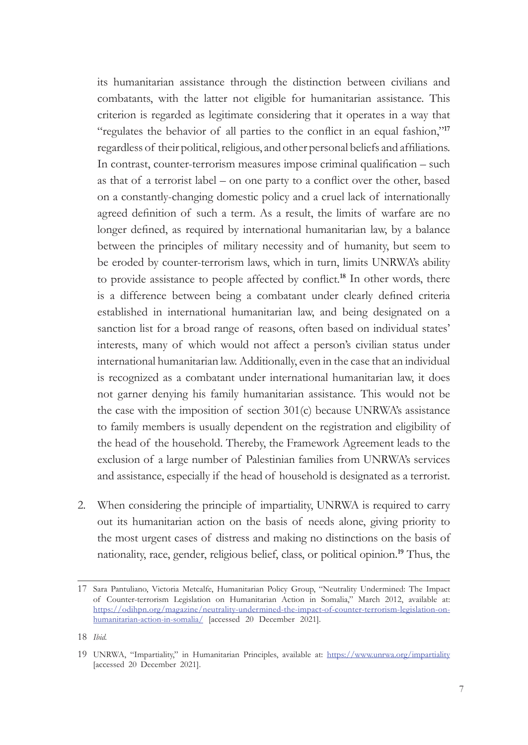its humanitarian assistance through the distinction between civilians and combatants, with the latter not eligible for humanitarian assistance. This criterion is regarded as legitimate considering that it operates in a way that "regulates the behavior of all parties to the conflict in an equal fashion,"**<sup>17</sup>** regardless of their political, religious, and other personal beliefs and affiliations. In contrast, counter-terrorism measures impose criminal qualification – such as that of a terrorist label – on one party to a conflict over the other, based on a constantly-changing domestic policy and a cruel lack of internationally agreed definition of such a term. As a result, the limits of warfare are no longer defined, as required by international humanitarian law, by a balance between the principles of military necessity and of humanity, but seem to be eroded by counter-terrorism laws, which in turn, limits UNRWA's ability to provide assistance to people affected by conflict.**<sup>18</sup>** In other words, there is a difference between being a combatant under clearly defined criteria established in international humanitarian law, and being designated on a sanction list for a broad range of reasons, often based on individual states' interests, many of which would not affect a person's civilian status under international humanitarian law. Additionally, even in the case that an individual is recognized as a combatant under international humanitarian law, it does not garner denying his family humanitarian assistance. This would not be the case with the imposition of section 301(c) because UNRWA's assistance to family members is usually dependent on the registration and eligibility of the head of the household. Thereby, the Framework Agreement leads to the exclusion of a large number of Palestinian families from UNRWA's services and assistance, especially if the head of household is designated as a terrorist.

2. When considering the principle of impartiality, UNRWA is required to carry out its humanitarian action on the basis of needs alone, giving priority to the most urgent cases of distress and making no distinctions on the basis of nationality, race, gender, religious belief, class, or political opinion.**<sup>19</sup>** Thus, the

<sup>17</sup> Sara Pantuliano, Victoria Metcalfe, Humanitarian Policy Group, "Neutrality Undermined: The Impact of Counter-terrorism Legislation on Humanitarian Action in Somalia," March 2012, available at: [https://odihpn.org/magazine/neutrality-undermined-the-impact-of-counter-terrorism-legislation-on](https://odihpn.org/magazine/neutrality-undermined-the-impact-of-counter-terrorism-legislation-on-humanitarian-action-in-somalia/)[humanitarian-action-in-somalia/](https://odihpn.org/magazine/neutrality-undermined-the-impact-of-counter-terrorism-legislation-on-humanitarian-action-in-somalia/) [accessed 20 December 2021].

<sup>18</sup> *Ibid.*

<sup>19</sup> UNRWA, "Impartiality," in Humanitarian Principles, available at: <https://www.unrwa.org/impartiality> [accessed 20 December 2021].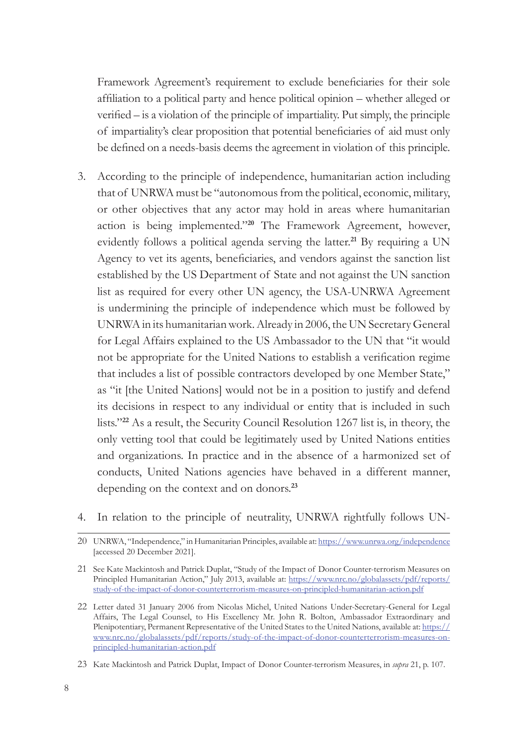Framework Agreement's requirement to exclude beneficiaries for their sole affiliation to a political party and hence political opinion – whether alleged or verified – is a violation of the principle of impartiality. Put simply, the principle of impartiality's clear proposition that potential beneficiaries of aid must only be defined on a needs-basis deems the agreement in violation of this principle.

- 3. According to the principle of independence, humanitarian action including that of UNRWA must be "autonomous from the political, economic, military, or other objectives that any actor may hold in areas where humanitarian action is being implemented."**<sup>20</sup>** The Framework Agreement, however, evidently follows a political agenda serving the latter.**<sup>21</sup>** By requiring a UN Agency to vet its agents, beneficiaries, and vendors against the sanction list established by the US Department of State and not against the UN sanction list as required for every other UN agency, the USA-UNRWA Agreement is undermining the principle of independence which must be followed by UNRWA in its humanitarian work. Already in 2006, the UN Secretary General for Legal Affairs explained to the US Ambassador to the UN that "it would not be appropriate for the United Nations to establish a verification regime that includes a list of possible contractors developed by one Member State," as "it [the United Nations] would not be in a position to justify and defend its decisions in respect to any individual or entity that is included in such lists."**<sup>22</sup>** As a result, the Security Council Resolution 1267 list is, in theory, the only vetting tool that could be legitimately used by United Nations entities and organizations. In practice and in the absence of a harmonized set of conducts, United Nations agencies have behaved in a different manner, depending on the context and on donors.**<sup>23</sup>**
- 4. In relation to the principle of neutrality, UNRWA rightfully follows UN-
- 20 UNRWA, "Independence," in Humanitarian Principles, available at:<https://www.unrwa.org/independence> [accessed 20 December 2021].

23 Kate Mackintosh and Patrick Duplat, Impact of Donor Counter-terrorism Measures, in *supra* 21, p. 107.

<sup>21</sup> See Kate Mackintosh and Patrick Duplat, "Study of the Impact of Donor Counter-terrorism Measures on Principled Humanitarian Action," July 2013, available at: [https://www.nrc.no/globalassets/pdf/reports/](https://www.nrc.no/globalassets/pdf/reports/study-of-the-impact-of-donor-counterterrorism-measures-on-principled-humanitarian-action.pdf) [study-of-the-impact-of-donor-counterterrorism-measures-on-principled-humanitarian-action.pdf](https://www.nrc.no/globalassets/pdf/reports/study-of-the-impact-of-donor-counterterrorism-measures-on-principled-humanitarian-action.pdf)

<sup>22</sup> Letter dated 31 January 2006 from Nicolas Michel, United Nations Under-Secretary-General for Legal Affairs, The Legal Counsel, to His Excellency Mr. John R. Bolton, Ambassador Extraordinary and Plenipotentiary, Permanent Representative of the United States to the United Nations, available at: [https://](https://www.nrc.no/globalassets/pdf/reports/study-of-the-impact-of-donor-counterterrorism-measures-on-principled-humanitarian-action.pdf) [www.nrc.no/globalassets/pdf/reports/study-of-the-impact-of-donor-counterterrorism-measures-on](https://www.nrc.no/globalassets/pdf/reports/study-of-the-impact-of-donor-counterterrorism-measures-on-principled-humanitarian-action.pdf)[principled-humanitarian-action.pdf](https://www.nrc.no/globalassets/pdf/reports/study-of-the-impact-of-donor-counterterrorism-measures-on-principled-humanitarian-action.pdf)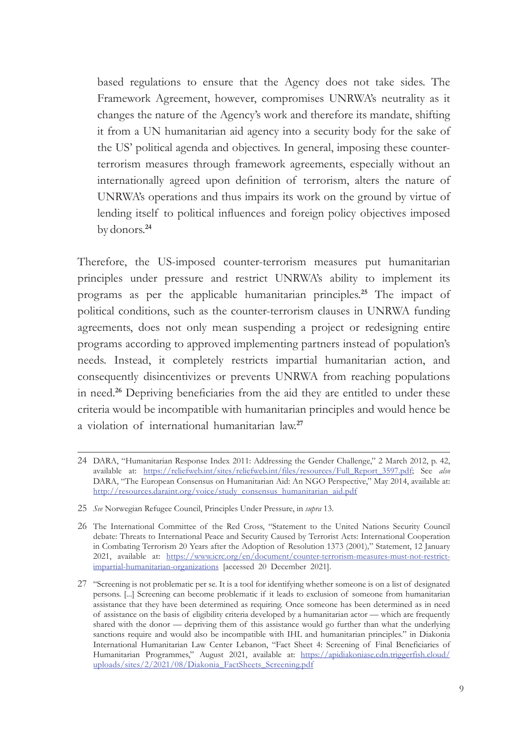based regulations to ensure that the Agency does not take sides. The Framework Agreement, however, compromises UNRWA's neutrality as it changes the nature of the Agency's work and therefore its mandate, shifting it from a UN humanitarian aid agency into a security body for the sake of the US' political agenda and objectives. In general, imposing these counterterrorism measures through framework agreements, especially without an internationally agreed upon definition of terrorism, alters the nature of UNRWA's operations and thus impairs its work on the ground by virtue of lending itself to political influences and foreign policy objectives imposed by donors.**<sup>24</sup>**

Therefore, the US-imposed counter-terrorism measures put humanitarian principles under pressure and restrict UNRWA's ability to implement its programs as per the applicable humanitarian principles.**<sup>25</sup>** The impact of political conditions, such as the counter-terrorism clauses in UNRWA funding agreements, does not only mean suspending a project or redesigning entire programs according to approved implementing partners instead of population's needs. Instead, it completely restricts impartial humanitarian action, and consequently disincentivizes or prevents UNRWA from reaching populations in need.**<sup>26</sup>** Depriving beneficiaries from the aid they are entitled to under these criteria would be incompatible with humanitarian principles and would hence be a violation of international humanitarian law.**<sup>27</sup>**

<sup>24</sup> DARA, "Humanitarian Response Index 2011: Addressing the Gender Challenge," 2 March 2012, p. 42, available at: [https://reliefweb.int/sites/reliefweb.int/files/resources/Full\\_Report\\_3597.pdf](https://reliefweb.int/sites/reliefweb.int/files/resources/Full_Report_3597.pdf); See *also* DARA, "The European Consensus on Humanitarian Aid: An NGO Perspective," May 2014, available at: [http://resources.daraint.org/voice/study\\_consensus\\_humanitarian\\_aid.pdf](http://resources.daraint.org/voice/study_consensus_humanitarian_aid.pdf)

<sup>25</sup> *See* Norwegian Refugee Council, Principles Under Pressure, in *supra* 13.

<sup>26</sup> The International Committee of the Red Cross, "Statement to the United Nations Security Council debate: Threats to International Peace and Security Caused by Terrorist Acts: International Cooperation in Combating Terrorism 20 Years after the Adoption of Resolution 1373 (2001)*,*" Statement, 12 January 2021, available at: [https://www.icrc.org/en/document/counter-terrorism-measures-must-not-restrict](https://www.icrc.org/en/document/counter-terrorism-measures-must-not-restrict-impartial-humanitarian-organizations)[impartial-humanitarian-organizations](https://www.icrc.org/en/document/counter-terrorism-measures-must-not-restrict-impartial-humanitarian-organizations) [accessed 20 December 2021].

<sup>27</sup> "Screening is not problematic per se. It is a tool for identifying whether someone is on a list of designated persons. [...] Screening can become problematic if it leads to exclusion of someone from humanitarian assistance that they have been determined as requiring. Once someone has been determined as in need of assistance on the basis of eligibility criteria developed by a humanitarian actor — which are frequently shared with the donor — depriving them of this assistance would go further than what the underlying sanctions require and would also be incompatible with IHL and humanitarian principles." in Diakonia International Humanitarian Law Center Lebanon, "Fact Sheet 4: Screening of Final Beneficiaries of Humanitarian Programmes," August 2021, available at: [https://apidiakoniase.cdn.triggerfish.cloud/](https://apidiakoniase.cdn.triggerfish.cloud/uploads/sites/2/2021/08/Diakonia_FactSheets_Screening.pdf) [uploads/sites/2/2021/08/Diakonia\\_FactSheets\\_Screening.pdf](https://apidiakoniase.cdn.triggerfish.cloud/uploads/sites/2/2021/08/Diakonia_FactSheets_Screening.pdf)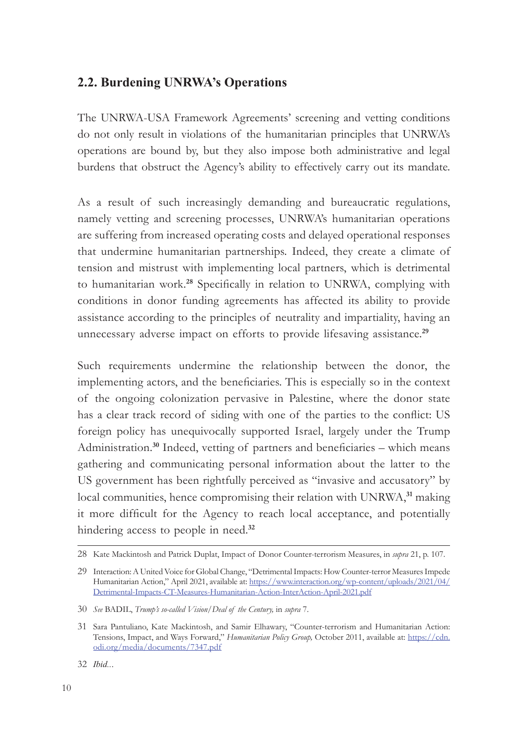#### **2.2. Burdening UNRWA's Operations**

The UNRWA-USA Framework Agreements' screening and vetting conditions do not only result in violations of the humanitarian principles that UNRWA's operations are bound by, but they also impose both administrative and legal burdens that obstruct the Agency's ability to effectively carry out its mandate.

As a result of such increasingly demanding and bureaucratic regulations, namely vetting and screening processes, UNRWA's humanitarian operations are suffering from increased operating costs and delayed operational responses that undermine humanitarian partnerships. Indeed, they create a climate of tension and mistrust with implementing local partners, which is detrimental to humanitarian work.**<sup>28</sup>** Specifically in relation to UNRWA, complying with conditions in donor funding agreements has affected its ability to provide assistance according to the principles of neutrality and impartiality, having an unnecessary adverse impact on efforts to provide lifesaving assistance.**<sup>29</sup>**

Such requirements undermine the relationship between the donor, the implementing actors, and the beneficiaries. This is especially so in the context of the ongoing colonization pervasive in Palestine, where the donor state has a clear track record of siding with one of the parties to the conflict: US foreign policy has unequivocally supported Israel, largely under the Trump Administration.**<sup>30</sup>** Indeed, vetting of partners and beneficiaries – which means gathering and communicating personal information about the latter to the US government has been rightfully perceived as "invasive and accusatory" by local communities, hence compromising their relation with UNRWA,**<sup>31</sup>** making it more difficult for the Agency to reach local acceptance, and potentially hindering access to people in need.**<sup>32</sup>**

<sup>28</sup> Kate Mackintosh and Patrick Duplat, Impact of Donor Counter-terrorism Measures, in *supra* 21, p. 107.

<sup>29</sup> Interaction: A United Voice for Global Change, "Detrimental Impacts: How Counter-terror Measures Impede Humanitarian Action," April 2021, available at: [https://www.interaction.org/wp-content/uploads/2021/04/](https://www.interaction.org/wp-content/uploads/2021/04/Detrimental-Impacts-CT-Measures-Humanitarian-Action-InterAction-April-2021.pdf) [Detrimental-Impacts-CT-Measures-Humanitarian-Action-InterAction-April-2021.pdf](https://www.interaction.org/wp-content/uploads/2021/04/Detrimental-Impacts-CT-Measures-Humanitarian-Action-InterAction-April-2021.pdf)

<sup>30</sup> *See* BADIL, *Trump's so-called Vision/Deal of the Century,* in *supra* 7.

<sup>31</sup> Sara Pantuliano, Kate Mackintosh, and Samir Elhawary, "Counter-terrorism and Humanitarian Action: Tensions, Impact, and Ways Forward," *Humanitarian Policy Group,* October 2011, available at: [https://cdn.](https://cdn.odi.org/media/documents/7347.pdf) [odi.org/media/documents/7347.pdf](https://cdn.odi.org/media/documents/7347.pdf)

<sup>32</sup> *Ibid..*.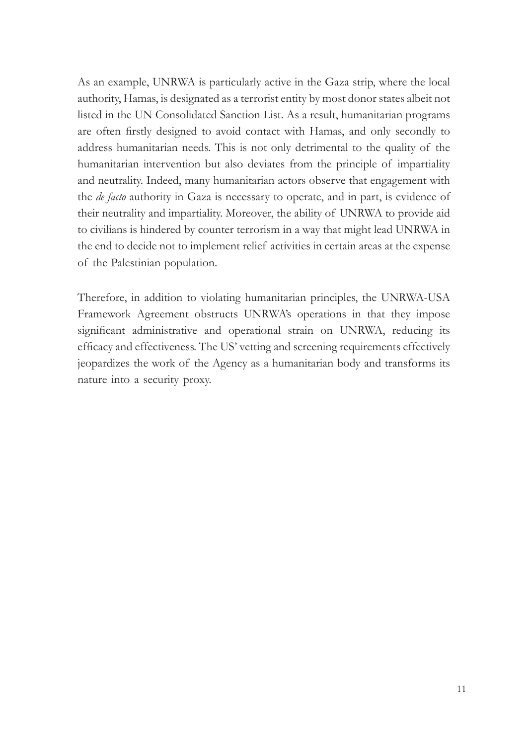As an example, UNRWA is particularly active in the Gaza strip, where the local authority, Hamas, is designated as a terrorist entity by most donor states albeit not listed in the UN Consolidated Sanction List. As a result, humanitarian programs are often firstly designed to avoid contact with Hamas, and only secondly to address humanitarian needs. This is not only detrimental to the quality of the humanitarian intervention but also deviates from the principle of impartiality and neutrality. Indeed, many humanitarian actors observe that engagement with the *de facto* authority in Gaza is necessary to operate, and in part, is evidence of their neutrality and impartiality. Moreover, the ability of UNRWA to provide aid to civilians is hindered by counter terrorism in a way that might lead UNRWA in the end to decide not to implement relief activities in certain areas at the expense of the Palestinian population.

Therefore, in addition to violating humanitarian principles, the UNRWA-USA Framework Agreement obstructs UNRWA's operations in that they impose significant administrative and operational strain on UNRWA, reducing its efficacy and effectiveness. The US' vetting and screening requirements effectively jeopardizes the work of the Agency as a humanitarian body and transforms its nature into a security proxy.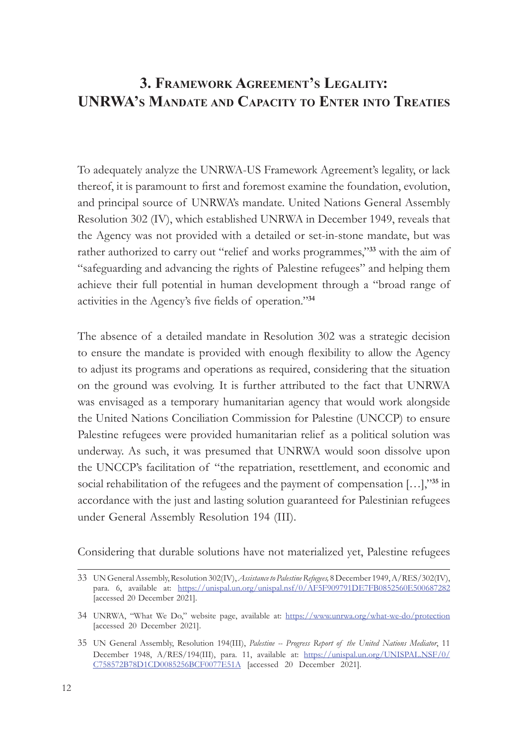# **3. Framework Agreement's Legality: UNRWA's Mandate and Capacity to Enter into Treaties**

To adequately analyze the UNRWA-US Framework Agreement's legality, or lack thereof, it is paramount to first and foremost examine the foundation, evolution, and principal source of UNRWA's mandate. United Nations General Assembly Resolution 302 (IV), which established UNRWA in December 1949, reveals that the Agency was not provided with a detailed or set-in-stone mandate, but was rather authorized to carry out "relief and works programmes,"**<sup>33</sup>** with the aim of "safeguarding and advancing the rights of Palestine refugees" and helping them achieve their full potential in human development through a "broad range of activities in the Agency's five fields of operation."**<sup>34</sup>**

The absence of a detailed mandate in Resolution 302 was a strategic decision to ensure the mandate is provided with enough flexibility to allow the Agency to adjust its programs and operations as required, considering that the situation on the ground was evolving. It is further attributed to the fact that UNRWA was envisaged as a temporary humanitarian agency that would work alongside the United Nations Conciliation Commission for Palestine (UNCCP) to ensure Palestine refugees were provided humanitarian relief as a political solution was underway. As such, it was presumed that UNRWA would soon dissolve upon the UNCCP's facilitation of "the repatriation, resettlement, and economic and social rehabilitation of the refugees and the payment of compensation […],"**<sup>35</sup>** in accordance with the just and lasting solution guaranteed for Palestinian refugees under General Assembly Resolution 194 (III).

Considering that durable solutions have not materialized yet, Palestine refugees

<sup>33</sup> UN General Assembly, Resolution 302(IV), *Assistance to Palestine Refugees,* 8 December 1949, A/RES/302(IV), para. 6, available at: <https://unispal.un.org/unispal.nsf/0/AF5F909791DE7FB0852560E500687282> [accessed 20 December 2021].

<sup>34</sup> UNRWA, "What We Do," website page, available at: <https://www.unrwa.org/what-we-do/protection> [accessed 20 December 2021].

<sup>35</sup> UN General Assembly, Resolution 194(III), *Palestine -- Progress Report of the United Nations Mediator*, 11 December 1948, A/RES/194(III), para. 11, available at: [https://unispal.un.org/UNISPAL.NSF/0/](https://unispal.un.org/UNISPAL.NSF/0/C758572B78D1CD0085256BCF0077E51A) [C758572B78D1CD0085256BCF0077E51A](https://unispal.un.org/UNISPAL.NSF/0/C758572B78D1CD0085256BCF0077E51A) [accessed 20 December 2021].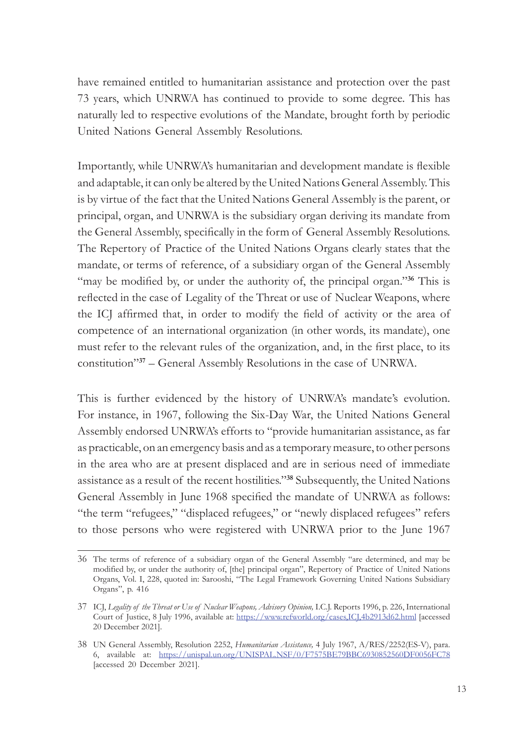have remained entitled to humanitarian assistance and protection over the past 73 years, which UNRWA has continued to provide to some degree. This has naturally led to respective evolutions of the Mandate, brought forth by periodic United Nations General Assembly Resolutions.

Importantly, while UNRWA's humanitarian and development mandate is flexible and adaptable, it can only be altered by the United Nations General Assembly. This is by virtue of the fact that the United Nations General Assembly is the parent, or principal, organ, and UNRWA is the subsidiary organ deriving its mandate from the General Assembly, specifically in the form of General Assembly Resolutions. The Repertory of Practice of the United Nations Organs clearly states that the mandate, or terms of reference, of a subsidiary organ of the General Assembly "may be modified by, or under the authority of, the principal organ."<sup>36</sup> This is reflected in the case of Legality of the Threat or use of Nuclear Weapons, where the ICJ affirmed that, in order to modify the field of activity or the area of competence of an international organization (in other words, its mandate), one must refer to the relevant rules of the organization, and, in the first place, to its constitution"**<sup>37</sup>** – General Assembly Resolutions in the case of UNRWA.

This is further evidenced by the history of UNRWA's mandate's evolution. For instance, in 1967, following the Six-Day War, the United Nations General Assembly endorsed UNRWA's efforts to "provide humanitarian assistance, as far as practicable, on an emergency basis and as a temporary measure, to other persons in the area who are at present displaced and are in serious need of immediate assistance as a result of the recent hostilities."**<sup>38</sup>** Subsequently, the United Nations General Assembly in June 1968 specified the mandate of UNRWA as follows: "the term "refugees," "displaced refugees," or "newly displaced refugees" refers to those persons who were registered with UNRWA prior to the June 1967

<sup>36</sup> The terms of reference of a subsidiary organ of the General Assembly "are determined, and may be modified by, or under the authority of, [the] principal organ", Repertory of Practice of United Nations Organs, Vol. I, 228, quoted in: Sarooshi, "The Legal Framework Governing United Nations Subsidiary Organs", p. 416

<sup>37</sup> ICJ, *Legality of the Threat or Use of Nuclear Weapons, Advisory Opinion,* I.C.J. Reports 1996, p. 226, International Court of Justice, 8 July 1996, available at: <https://www.refworld.org/cases,ICJ,4b2913d62.html> [accessed 20 December 2021].

<sup>38</sup> UN General Assembly, Resolution 2252, *Humanitarian Assistance,* 4 July 1967, A/RES/2252(ES-V), para. 6, available at: <https://unispal.un.org/UNISPAL.NSF/0/F7575BE79BBC6930852560DF0056FC78> [accessed 20 December 2021].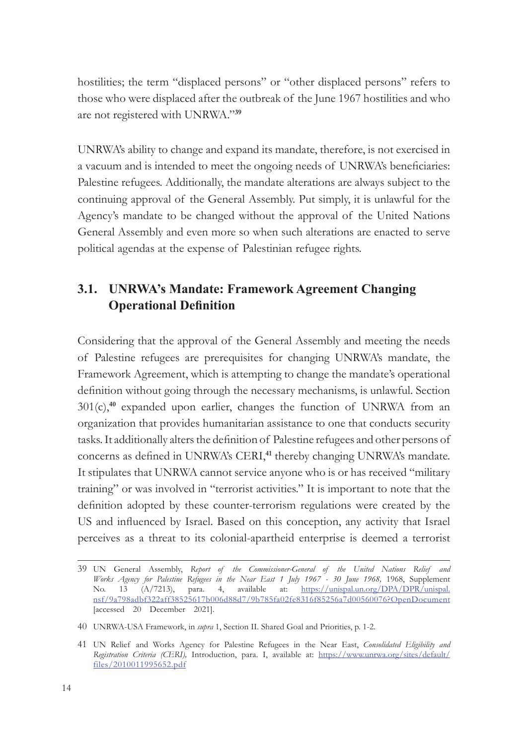hostilities; the term "displaced persons" or "other displaced persons" refers to those who were displaced after the outbreak of the June 1967 hostilities and who are not registered with UNRWA."**<sup>39</sup>**

UNRWA's ability to change and expand its mandate, therefore, is not exercised in a vacuum and is intended to meet the ongoing needs of UNRWA's beneficiaries: Palestine refugees. Additionally, the mandate alterations are always subject to the continuing approval of the General Assembly. Put simply, it is unlawful for the Agency's mandate to be changed without the approval of the United Nations General Assembly and even more so when such alterations are enacted to serve political agendas at the expense of Palestinian refugee rights.

# **3.1. UNRWA's Mandate: Framework Agreement Changing Operational Definition**

Considering that the approval of the General Assembly and meeting the needs of Palestine refugees are prerequisites for changing UNRWA's mandate, the Framework Agreement, which is attempting to change the mandate's operational definition without going through the necessary mechanisms, is unlawful. Section 301(c),**<sup>40</sup>** expanded upon earlier, changes the function of UNRWA from an organization that provides humanitarian assistance to one that conducts security tasks. It additionally alters the definition of Palestine refugees and other persons of concerns as defined in UNRWA's CERI,**<sup>41</sup>** thereby changing UNRWA's mandate. It stipulates that UNRWA cannot service anyone who is or has received "military training" or was involved in "terrorist activities." It is important to note that the definition adopted by these counter-terrorism regulations were created by the US and influenced by Israel. Based on this conception, any activity that Israel perceives as a threat to its colonial-apartheid enterprise is deemed a terrorist

<sup>39</sup> UN General Assembly, *Report of the Commissioner-General of the United Nations Relief and Works Agency for Palestine Refugees in the Near East 1 July 1967 - 30 June 1968,* 1968, Supplement No. 13 (A/7213), para. 4, available at: [https://unispal.un.org/DPA/DPR/unispal.](https://unispal.un.org/DPA/DPR/unispal.nsf/9a798adbf322aff38525617b006d88d7/9b785fa02fe8316f85256a7d00560076?OpenDocument) [nsf/9a798adbf322aff38525617b006d88d7/9b785fa02fe8316f85256a7d00560076?OpenDocument](https://unispal.un.org/DPA/DPR/unispal.nsf/9a798adbf322aff38525617b006d88d7/9b785fa02fe8316f85256a7d00560076?OpenDocument) [accessed 20 December 2021].

<sup>40</sup> UNRWA-USA Framework, in *supra* 1, Section II. Shared Goal and Priorities, p. 1-2.

<sup>41</sup> UN Relief and Works Agency for Palestine Refugees in the Near East, *Consolidated Eligibility and Registration Criteria (CERI),* Introduction, para. I, available at: [https://www.unrwa.org/sites/default/](https://www.unrwa.org/sites/default/files/2010011995652.pdf) [files/2010011995652.pdf](https://www.unrwa.org/sites/default/files/2010011995652.pdf)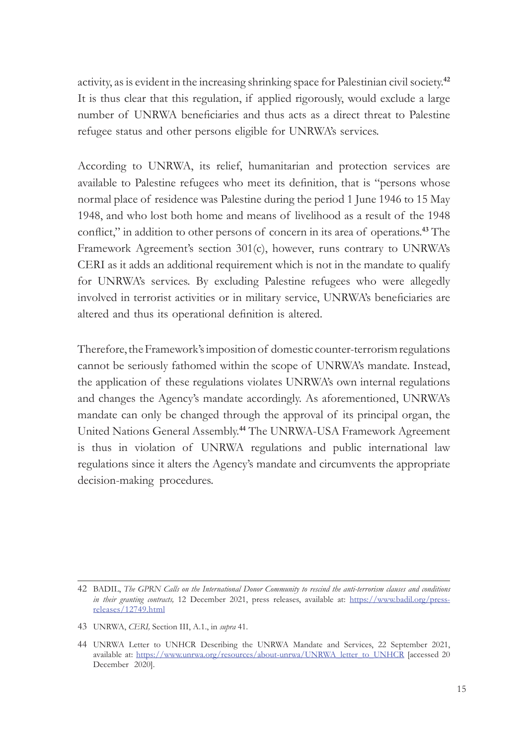activity, as is evident in the increasing shrinking space for Palestinian civil society.**<sup>42</sup>** It is thus clear that this regulation, if applied rigorously, would exclude a large number of UNRWA beneficiaries and thus acts as a direct threat to Palestine refugee status and other persons eligible for UNRWA's services.

According to UNRWA, its relief, humanitarian and protection services are available to Palestine refugees who meet its definition, that is "persons whose normal place of residence was Palestine during the period 1 June 1946 to 15 May 1948, and who lost both home and means of livelihood as a result of the 1948 conflict," in addition to other persons of concern in its area of operations.**<sup>43</sup>** The Framework Agreement's section 301(c), however, runs contrary to UNRWA's CERI as it adds an additional requirement which is not in the mandate to qualify for UNRWA's services. By excluding Palestine refugees who were allegedly involved in terrorist activities or in military service, UNRWA's beneficiaries are altered and thus its operational definition is altered.

Therefore, the Framework's imposition of domestic counter-terrorism regulations cannot be seriously fathomed within the scope of UNRWA's mandate. Instead, the application of these regulations violates UNRWA's own internal regulations and changes the Agency's mandate accordingly. As aforementioned, UNRWA's mandate can only be changed through the approval of its principal organ, the United Nations General Assembly.**<sup>44</sup>** The UNRWA-USA Framework Agreement is thus in violation of UNRWA regulations and public international law regulations since it alters the Agency's mandate and circumvents the appropriate decision-making procedures.

<sup>42</sup> BADIL, *The GPRN Calls on the International Donor Community to rescind the anti-terrorism clauses and conditions in their granting contracts,* 12 December 2021, press releases, available at: [https://www.badil.org/press](https://www.badil.org/press-releases/12749.html)[releases/12749.html](https://www.badil.org/press-releases/12749.html)

<sup>43</sup> UNRWA, *CERI,* Section III, A.1., in *supra* 41.

<sup>44</sup> UNRWA Letter to UNHCR Describing the UNRWA Mandate and Services, 22 September 2021, available at: [https://www.unrwa.org/resources/about-unrwa/UNRWA\\_letter\\_to\\_UNHCR](https://www.unrwa.org/resources/about-unrwa/UNRWA_letter_to_UNHCR) [accessed 20 December 2020].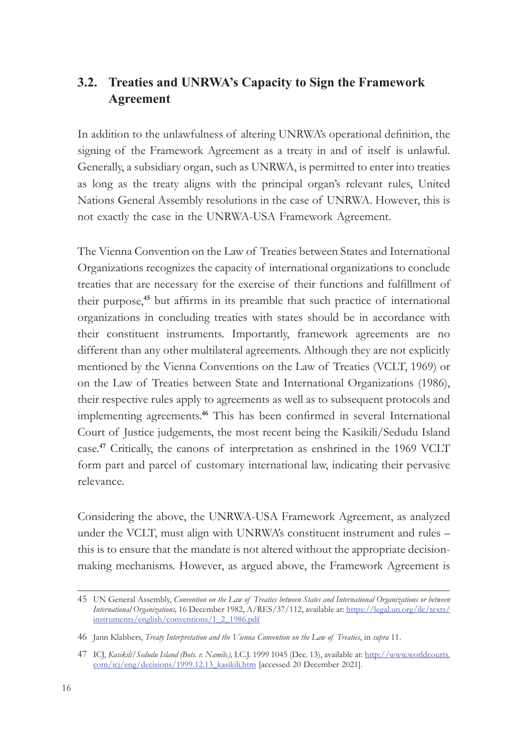# **3.2. Treaties and UNRWA's Capacity to Sign the Framework Agreement**

In addition to the unlawfulness of altering UNRWA's operational definition, the signing of the Framework Agreement as a treaty in and of itself is unlawful. Generally, a subsidiary organ, such as UNRWA, is permitted to enter into treaties as long as the treaty aligns with the principal organ's relevant rules, United Nations General Assembly resolutions in the case of UNRWA. However, this is not exactly the case in the UNRWA-USA Framework Agreement.

The Vienna Convention on the Law of Treaties between States and International Organizations recognizes the capacity of international organizations to conclude treaties that are necessary for the exercise of their functions and fulfillment of their purpose,**<sup>45</sup>** but affirms in its preamble that such practice of international organizations in concluding treaties with states should be in accordance with their constituent instruments. Importantly, framework agreements are no different than any other multilateral agreements. Although they are not explicitly mentioned by the Vienna Conventions on the Law of Treaties (VCLT, 1969) or on the Law of Treaties between State and International Organizations (1986), their respective rules apply to agreements as well as to subsequent protocols and implementing agreements.**<sup>46</sup>** This has been confirmed in several International Court of Justice judgements, the most recent being the Kasikili/Sedudu Island case.**<sup>47</sup>** Critically, the canons of interpretation as enshrined in the 1969 VCLT form part and parcel of customary international law, indicating their pervasive relevance.

Considering the above, the UNRWA-USA Framework Agreement, as analyzed under the VCLT, must align with UNRWA's constituent instrument and rules – this is to ensure that the mandate is not altered without the appropriate decisionmaking mechanisms. However, as argued above, the Framework Agreement is

<sup>45</sup> UN General Assembly, *Convention on the Law of Treaties between States and International Organizations or between International Organizations,* 16 December 1982, A/RES/37/112, available at: [https://legal.un.org/ilc/texts/](https://legal.un.org/ilc/texts/instruments/english/conventions/1_2_1986.pdf) [instruments/english/conventions/1\\_2\\_1986.pdf](https://legal.un.org/ilc/texts/instruments/english/conventions/1_2_1986.pdf)

<sup>46</sup> Jann Klabbers, *Treaty Interpretation and the Vienna Convention on the Law of Treaties*, in *supra* 11.

<sup>47</sup> ICJ, *Kasikili/Sedudu Island (Bots. v. Namib.),* I.C.J. 1999 1045 (Dec. 13), available at: [http://www.worldcourts.](http://www.worldcourts.com/icj/eng/decisions/1999.12.13_kasikili.htm) [com/icj/eng/decisions/1999.12.13\\_kasikili.htm](http://www.worldcourts.com/icj/eng/decisions/1999.12.13_kasikili.htm) [accessed 20 December 2021].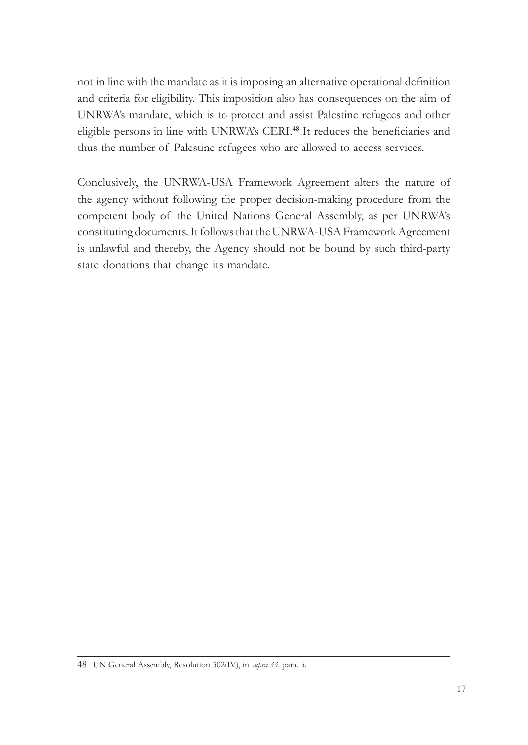not in line with the mandate as it is imposing an alternative operational definition and criteria for eligibility. This imposition also has consequences on the aim of UNRWA's mandate, which is to protect and assist Palestine refugees and other eligible persons in line with UNRWA's CERI.**<sup>48</sup>** It reduces the beneficiaries and thus the number of Palestine refugees who are allowed to access services.

Conclusively, the UNRWA-USA Framework Agreement alters the nature of the agency without following the proper decision-making procedure from the competent body of the United Nations General Assembly, as per UNRWA's constituting documents. It follows that the UNRWA-USA Framework Agreement is unlawful and thereby, the Agency should not be bound by such third-party state donations that change its mandate.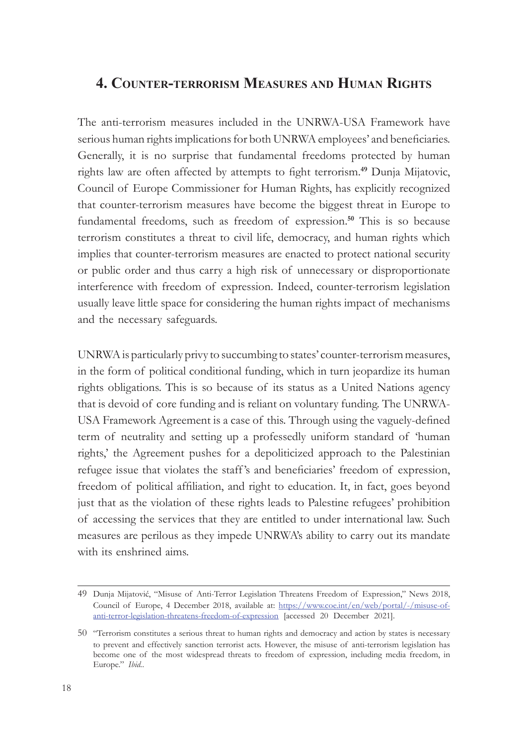#### **4. Counter-terrorism Measures and Human Rights**

The anti-terrorism measures included in the UNRWA-USA Framework have serious human rights implications for both UNRWA employees' and beneficiaries. Generally, it is no surprise that fundamental freedoms protected by human rights law are often affected by attempts to fight terrorism.**<sup>49</sup>** Dunja Mijatovic, Council of Europe Commissioner for Human Rights, has explicitly recognized that counter-terrorism measures have become the biggest threat in Europe to fundamental freedoms, such as freedom of expression.**<sup>50</sup>** This is so because terrorism constitutes a threat to civil life, democracy, and human rights which implies that counter-terrorism measures are enacted to protect national security or public order and thus carry a high risk of unnecessary or disproportionate interference with freedom of expression. Indeed, counter-terrorism legislation usually leave little space for considering the human rights impact of mechanisms and the necessary safeguards.

UNRWA is particularly privy to succumbing to states' counter-terrorism measures, in the form of political conditional funding, which in turn jeopardize its human rights obligations. This is so because of its status as a United Nations agency that is devoid of core funding and is reliant on voluntary funding. The UNRWA-USA Framework Agreement is a case of this. Through using the vaguely-defined term of neutrality and setting up a professedly uniform standard of 'human rights,' the Agreement pushes for a depoliticized approach to the Palestinian refugee issue that violates the staff 's and beneficiaries' freedom of expression, freedom of political affiliation, and right to education. It, in fact, goes beyond just that as the violation of these rights leads to Palestine refugees' prohibition of accessing the services that they are entitled to under international law. Such measures are perilous as they impede UNRWA's ability to carry out its mandate with its enshrined aims.

<sup>49</sup> Dunja Mijatović, "Misuse of Anti-Terror Legislation Threatens Freedom of Expression," News 2018, Council of Europe, 4 December 2018, available at: [https://www.coe.int/en/web/portal/-/misuse-of](https://www.coe.int/en/web/portal/-/misuse-of-anti-terror-legislation-threatens-freedom-of-expression)[anti-terror-legislation-threatens-freedom-of-expression](https://www.coe.int/en/web/portal/-/misuse-of-anti-terror-legislation-threatens-freedom-of-expression) [accessed 20 December 2021].

<sup>50</sup> "Terrorism constitutes a serious threat to human rights and democracy and action by states is necessary to prevent and effectively sanction terrorist acts. However, the misuse of anti-terrorism legislation has become one of the most widespread threats to freedom of expression, including media freedom, in Europe." *Ibid.*.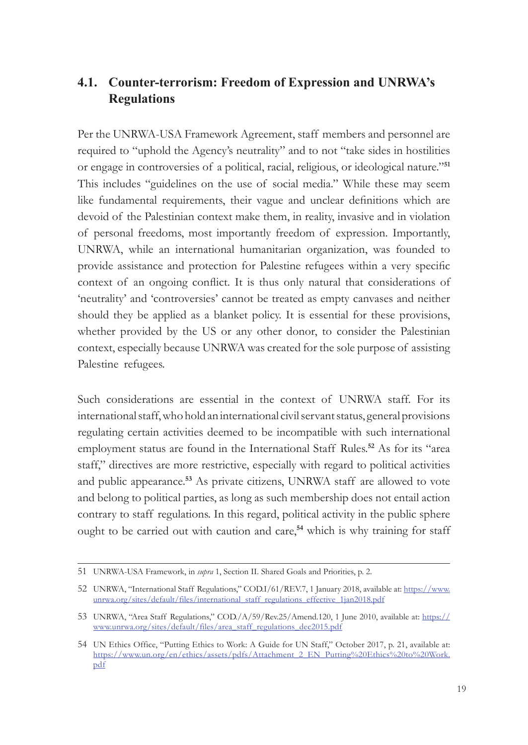# **4.1. Counter-terrorism: Freedom of Expression and UNRWA's Regulations**

Per the UNRWA-USA Framework Agreement, staff members and personnel are required to "uphold the Agency's neutrality" and to not "take sides in hostilities or engage in controversies of a political, racial, religious, or ideological nature."**<sup>51</sup>** This includes "guidelines on the use of social media." While these may seem like fundamental requirements, their vague and unclear definitions which are devoid of the Palestinian context make them, in reality, invasive and in violation of personal freedoms, most importantly freedom of expression. Importantly, UNRWA, while an international humanitarian organization, was founded to provide assistance and protection for Palestine refugees within a very specific context of an ongoing conflict. It is thus only natural that considerations of 'neutrality' and 'controversies' cannot be treated as empty canvases and neither should they be applied as a blanket policy. It is essential for these provisions, whether provided by the US or any other donor, to consider the Palestinian context, especially because UNRWA was created for the sole purpose of assisting Palestine refugees.

Such considerations are essential in the context of UNRWA staff. For its international staff, who hold an international civil servant status, general provisions regulating certain activities deemed to be incompatible with such international employment status are found in the International Staff Rules.**<sup>52</sup>** As for its "area staff," directives are more restrictive, especially with regard to political activities and public appearance.**<sup>53</sup>** As private citizens, UNRWA staff are allowed to vote and belong to political parties, as long as such membership does not entail action contrary to staff regulations. In this regard, political activity in the public sphere ought to be carried out with caution and care,**<sup>54</sup>** which is why training for staff

<sup>51</sup> UNRWA-USA Framework, in *supra* 1, Section II. Shared Goals and Priorities, p. 2.

<sup>52</sup> UNRWA, "International Staff Regulations," COD.I/61/REV.7, 1 January 2018, available at: [https://www.](https://www.unrwa.org/sites/default/files/international_staff_regulations_effective_1jan2018.pdf) [unrwa.org/sites/default/files/international\\_staff\\_regulations\\_effective\\_1jan2018.pdf](https://www.unrwa.org/sites/default/files/international_staff_regulations_effective_1jan2018.pdf)

<sup>53</sup> UNRWA, "Area Staff Regulations," COD./A/59/Rev.25/Amend.120, 1 June 2010, available at: [https://](https://www.unrwa.org/sites/default/files/area_staff_regulations_dec2015.pdf) [www.unrwa.org/sites/default/files/area\\_staff\\_regulations\\_dec2015.pdf](https://www.unrwa.org/sites/default/files/area_staff_regulations_dec2015.pdf)

<sup>54</sup> UN Ethics Office, "Putting Ethics to Work: A Guide for UN Staff," October 2017, p. 21, available at: [https://www.un.org/en/ethics/assets/pdfs/Attachment\\_2\\_EN\\_Putting%20Ethics%20to%20Work.](https://www.un.org/en/ethics/assets/pdfs/Attachment_2_EN_Putting%20Ethics%20to%20Work.pdf) [pdf](https://www.un.org/en/ethics/assets/pdfs/Attachment_2_EN_Putting%20Ethics%20to%20Work.pdf)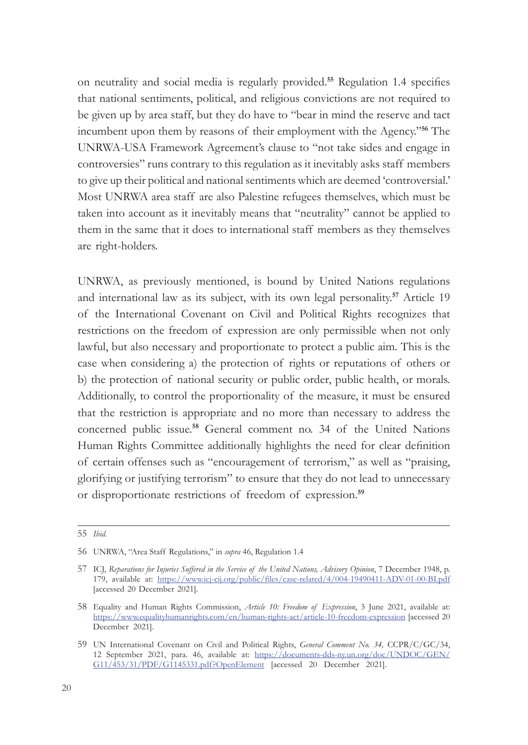on neutrality and social media is regularly provided.**<sup>55</sup>** Regulation 1.4 specifies that national sentiments, political, and religious convictions are not required to be given up by area staff, but they do have to "bear in mind the reserve and tact incumbent upon them by reasons of their employment with the Agency."**<sup>56</sup>** The UNRWA-USA Framework Agreement's clause to "not take sides and engage in controversies" runs contrary to this regulation as it inevitably asks staff members to give up their political and national sentiments which are deemed 'controversial.' Most UNRWA area staff are also Palestine refugees themselves, which must be taken into account as it inevitably means that "neutrality" cannot be applied to them in the same that it does to international staff members as they themselves are right-holders.

UNRWA, as previously mentioned, is bound by United Nations regulations and international law as its subject, with its own legal personality.**<sup>57</sup>** Article 19 of the International Covenant on Civil and Political Rights recognizes that restrictions on the freedom of expression are only permissible when not only lawful, but also necessary and proportionate to protect a public aim. This is the case when considering a) the protection of rights or reputations of others or b) the protection of national security or public order, public health, or morals. Additionally, to control the proportionality of the measure, it must be ensured that the restriction is appropriate and no more than necessary to address the concerned public issue.**<sup>58</sup>** General comment no. 34 of the United Nations Human Rights Committee additionally highlights the need for clear definition of certain offenses such as "encouragement of terrorism," as well as "praising, glorifying or justifying terrorism" to ensure that they do not lead to unnecessary or disproportionate restrictions of freedom of expression.**<sup>59</sup>**

<sup>55</sup> *Ibid.*

<sup>56</sup> UNRWA, "Area Staff Regulations," in *supra* 46, Regulation 1.4

<sup>57</sup> ICJ, *Reparations for Injuries Suffered in the Service of the United Nations, Advisory Opinion*, 7 December 1948, p. 179, available at: <https://www.icj-cij.org/public/files/case-related/4/004-19490411-ADV-01-00-BI.pdf> [accessed 20 December 2021].

<sup>58</sup> Equality and Human Rights Commission, *Article 10: Freedom of Expression*, 3 June 2021, available at: <https://www.equalityhumanrights.com/en/human-rights-act/article-10-freedom-expression> [accessed 20 December 2021].

<sup>59</sup> UN International Covenant on Civil and Political Rights, *General Comment No. 34,* CCPR/C/GC/34, 12 September 2021, para. 46, available at: [https://documents-dds-ny.un.org/doc/UNDOC/GEN/](https://documents-dds-ny.un.org/doc/UNDOC/GEN/G11/453/31/PDF/G1145331.pdf?OpenElement) [G11/453/31/PDF/G1145331.pdf?OpenElement](https://documents-dds-ny.un.org/doc/UNDOC/GEN/G11/453/31/PDF/G1145331.pdf?OpenElement) [accessed 20 December 2021].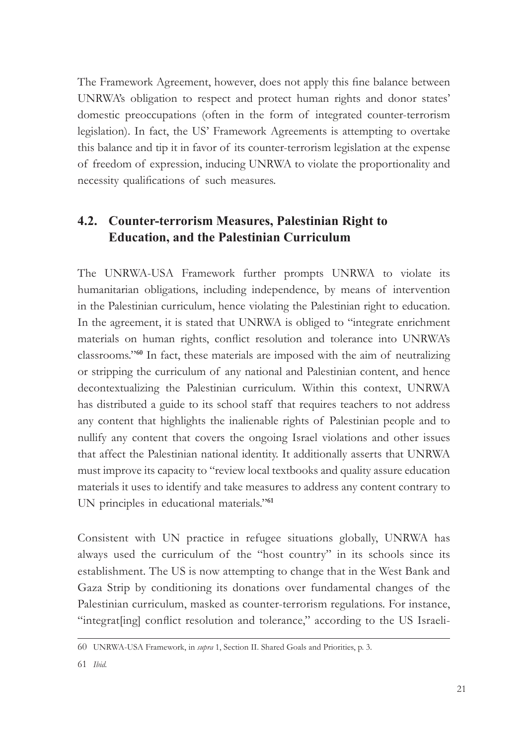The Framework Agreement, however, does not apply this fine balance between UNRWA's obligation to respect and protect human rights and donor states' domestic preoccupations (often in the form of integrated counter-terrorism legislation). In fact, the US' Framework Agreements is attempting to overtake this balance and tip it in favor of its counter-terrorism legislation at the expense of freedom of expression, inducing UNRWA to violate the proportionality and necessity qualifications of such measures.

# **4.2. Counter-terrorism Measures, Palestinian Right to Education, and the Palestinian Curriculum**

The UNRWA-USA Framework further prompts UNRWA to violate its humanitarian obligations, including independence, by means of intervention in the Palestinian curriculum, hence violating the Palestinian right to education. In the agreement, it is stated that UNRWA is obliged to "integrate enrichment materials on human rights, conflict resolution and tolerance into UNRWA's classrooms."**<sup>60</sup>** In fact, these materials are imposed with the aim of neutralizing or stripping the curriculum of any national and Palestinian content, and hence decontextualizing the Palestinian curriculum. Within this context, UNRWA has distributed a guide to its school staff that requires teachers to not address any content that highlights the inalienable rights of Palestinian people and to nullify any content that covers the ongoing Israel violations and other issues that affect the Palestinian national identity. It additionally asserts that UNRWA must improve its capacity to "review local textbooks and quality assure education materials it uses to identify and take measures to address any content contrary to UN principles in educational materials."**<sup>61</sup>**

Consistent with UN practice in refugee situations globally, UNRWA has always used the curriculum of the "host country" in its schools since its establishment. The US is now attempting to change that in the West Bank and Gaza Strip by conditioning its donations over fundamental changes of the Palestinian curriculum, masked as counter-terrorism regulations. For instance, "integrat[ing] conflict resolution and tolerance," according to the US Israeli-

<sup>60</sup> UNRWA-USA Framework, in *supra* 1, Section II. Shared Goals and Priorities, p. 3.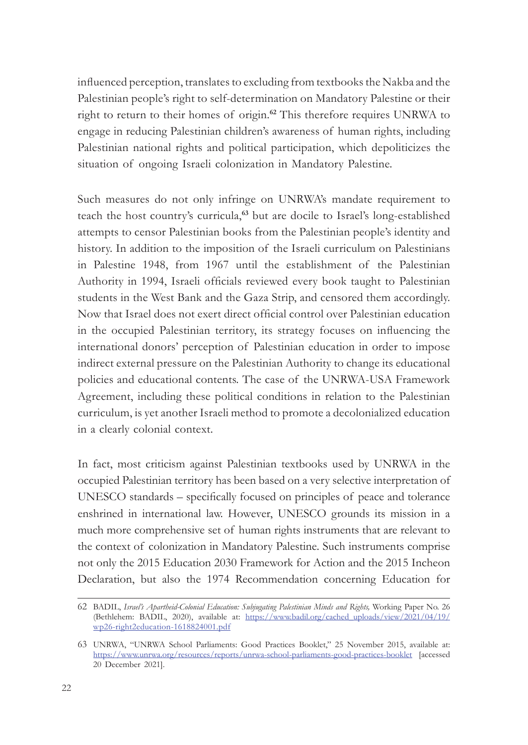influenced perception, translates to excluding from textbooks the Nakba and the Palestinian people's right to self-determination on Mandatory Palestine or their right to return to their homes of origin.**<sup>62</sup>** This therefore requires UNRWA to engage in reducing Palestinian children's awareness of human rights, including Palestinian national rights and political participation, which depoliticizes the situation of ongoing Israeli colonization in Mandatory Palestine.

Such measures do not only infringe on UNRWA's mandate requirement to teach the host country's curricula,**<sup>63</sup>** but are docile to Israel's long-established attempts to censor Palestinian books from the Palestinian people's identity and history. In addition to the imposition of the Israeli curriculum on Palestinians in Palestine 1948, from 1967 until the establishment of the Palestinian Authority in 1994, Israeli officials reviewed every book taught to Palestinian students in the West Bank and the Gaza Strip, and censored them accordingly. Now that Israel does not exert direct official control over Palestinian education in the occupied Palestinian territory, its strategy focuses on influencing the international donors' perception of Palestinian education in order to impose indirect external pressure on the Palestinian Authority to change its educational policies and educational contents. The case of the UNRWA-USA Framework Agreement, including these political conditions in relation to the Palestinian curriculum, is yet another Israeli method to promote a decolonialized education in a clearly colonial context.

In fact, most criticism against Palestinian textbooks used by UNRWA in the occupied Palestinian territory has been based on a very selective interpretation of UNESCO standards – specifically focused on principles of peace and tolerance enshrined in international law. However, UNESCO grounds its mission in a much more comprehensive set of human rights instruments that are relevant to the context of colonization in Mandatory Palestine. Such instruments comprise not only the 2015 Education 2030 Framework for Action and the 2015 Incheon Declaration, but also the 1974 Recommendation concerning Education for

<sup>62</sup> BADIL, *Israel's Apartheid-Colonial Education: Subjugating Palestinian Minds and Rights,* Working Paper No. 26 (Bethlehem: BADIL, 2020), available at: [https://www.badil.org/cached\\_uploads/view/2021/04/19/](https://www.badil.org/cached_uploads/view/2021/04/19/wp26-right2education-1618824001.pdf) [wp26-right2education-1618824001.pdf](https://www.badil.org/cached_uploads/view/2021/04/19/wp26-right2education-1618824001.pdf)

<sup>63</sup> UNRWA, "UNRWA School Parliaments: Good Practices Booklet," 25 November 2015, available at: <https://www.unrwa.org/resources/reports/unrwa-school-parliaments-good-practices-booklet> [accessed 20 December 2021].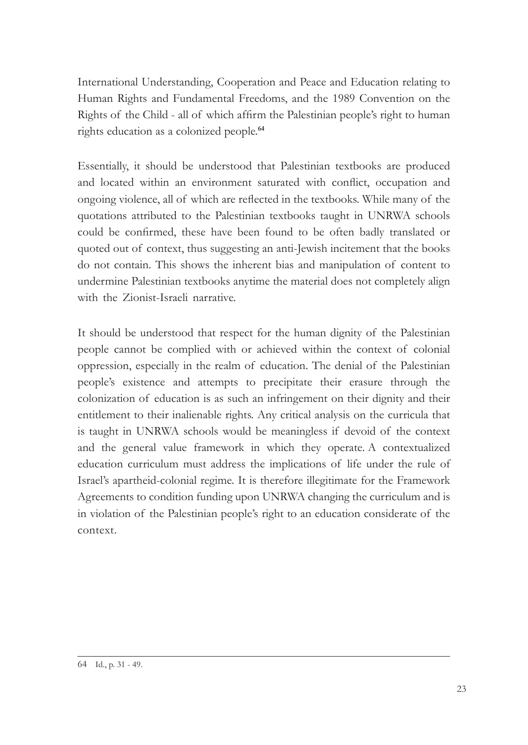International Understanding, Cooperation and Peace and Education relating to Human Rights and Fundamental Freedoms, and the 1989 Convention on the Rights of the Child - all of which affirm the Palestinian people's right to human rights education as a colonized people.**<sup>64</sup>**

Essentially, it should be understood that Palestinian textbooks are produced and located within an environment saturated with conflict, occupation and ongoing violence, all of which are reflected in the textbooks. While many of the quotations attributed to the Palestinian textbooks taught in UNRWA schools could be confirmed, these have been found to be often badly translated or quoted out of context, thus suggesting an anti-Jewish incitement that the books do not contain. This shows the inherent bias and manipulation of content to undermine Palestinian textbooks anytime the material does not completely align with the Zionist-Israeli narrative.

It should be understood that respect for the human dignity of the Palestinian people cannot be complied with or achieved within the context of colonial oppression, especially in the realm of education. The denial of the Palestinian people's existence and attempts to precipitate their erasure through the colonization of education is as such an infringement on their dignity and their entitlement to their inalienable rights. Any critical analysis on the curricula that is taught in UNRWA schools would be meaningless if devoid of the context and the general value framework in which they operate. A contextualized education curriculum must address the implications of life under the rule of Israel's apartheid-colonial regime. It is therefore illegitimate for the Framework Agreements to condition funding upon UNRWA changing the curriculum and is in violation of the Palestinian people's right to an education considerate of the context.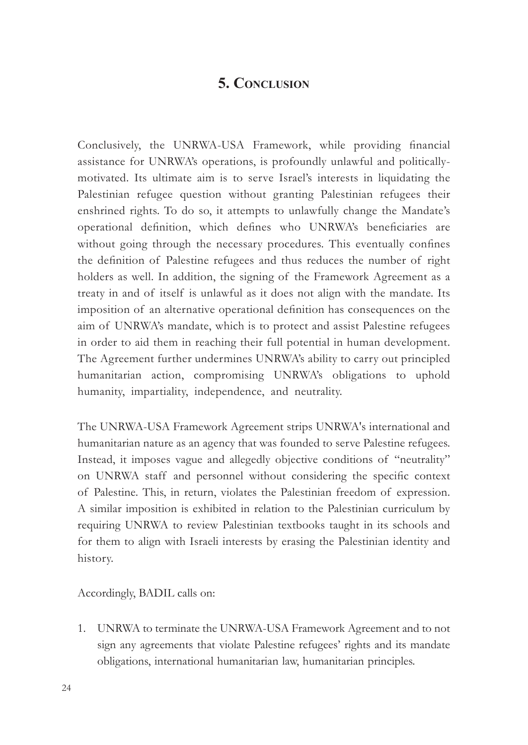# **5. Conclusion**

Conclusively, the UNRWA-USA Framework, while providing financial assistance for UNRWA's operations, is profoundly unlawful and politicallymotivated. Its ultimate aim is to serve Israel's interests in liquidating the Palestinian refugee question without granting Palestinian refugees their enshrined rights. To do so, it attempts to unlawfully change the Mandate's operational definition, which defines who UNRWA's beneficiaries are without going through the necessary procedures. This eventually confines the definition of Palestine refugees and thus reduces the number of right holders as well. In addition, the signing of the Framework Agreement as a treaty in and of itself is unlawful as it does not align with the mandate. Its imposition of an alternative operational definition has consequences on the aim of UNRWA's mandate, which is to protect and assist Palestine refugees in order to aid them in reaching their full potential in human development. The Agreement further undermines UNRWA's ability to carry out principled humanitarian action, compromising UNRWA's obligations to uphold humanity, impartiality, independence, and neutrality.

The UNRWA-USA Framework Agreement strips UNRWA's international and humanitarian nature as an agency that was founded to serve Palestine refugees. Instead, it imposes vague and allegedly objective conditions of "neutrality" on UNRWA staff and personnel without considering the specific context of Palestine. This, in return, violates the Palestinian freedom of expression. A similar imposition is exhibited in relation to the Palestinian curriculum by requiring UNRWA to review Palestinian textbooks taught in its schools and for them to align with Israeli interests by erasing the Palestinian identity and history.

Accordingly, BADIL calls on:

1. UNRWA to terminate the UNRWA-USA Framework Agreement and to not sign any agreements that violate Palestine refugees' rights and its mandate obligations, international humanitarian law, humanitarian principles.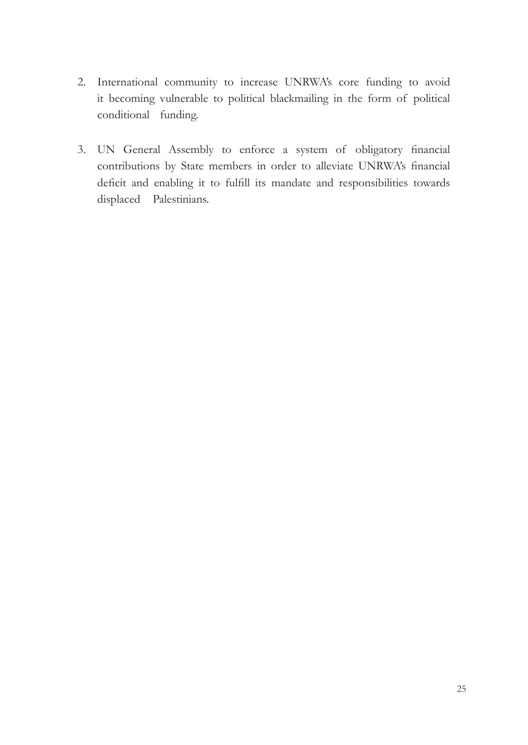- 2. International community to increase UNRWA's core funding to avoid it becoming vulnerable to political blackmailing in the form of political conditional funding.
- 3. UN General Assembly to enforce a system of obligatory financial contributions by State members in order to alleviate UNRWA's financial deficit and enabling it to fulfill its mandate and responsibilities towards displaced Palestinians.